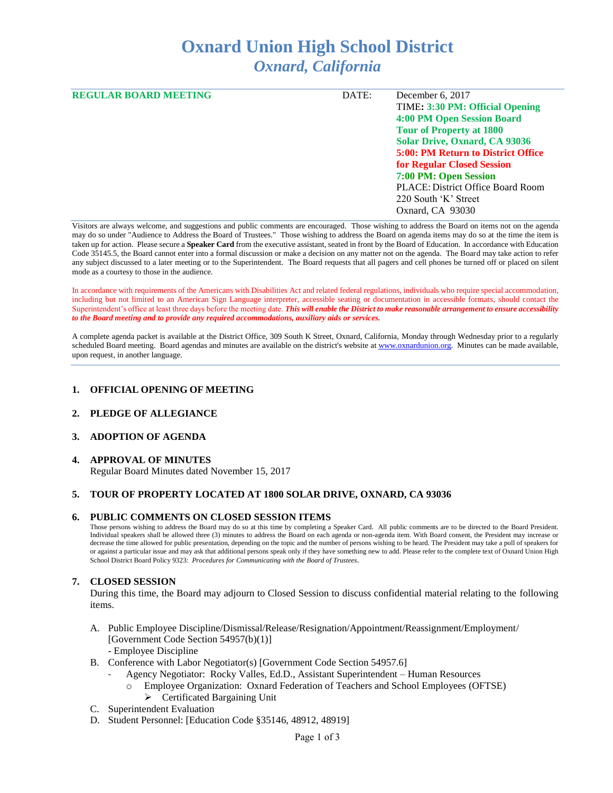# **Oxnard Union High School District** *Oxnard, California*

| <b>REGULAR BOARD MEETING</b> | DATE: | December 6, 2017                         |
|------------------------------|-------|------------------------------------------|
|                              |       | TIME: 3:30 PM: Official Opening          |
|                              |       | 4:00 PM Open Session Board               |
|                              |       | <b>Tour of Property at 1800</b>          |
|                              |       | <b>Solar Drive, Oxnard, CA 93036</b>     |
|                              |       | 5:00: PM Return to District Office       |
|                              |       | <b>for Regular Closed Session</b>        |
|                              |       | 7:00 PM: Open Session                    |
|                              |       | <b>PLACE: District Office Board Room</b> |
|                              |       | 220 South 'K' Street                     |
|                              |       | Oxnard, CA 93030                         |

Visitors are always welcome, and suggestions and public comments are encouraged. Those wishing to address the Board on items not on the agenda may do so under "Audience to Address the Board of Trustees." Those wishing to address the Board on agenda items may do so at the time the item is taken up for action. Please secure a **Speaker Card** from the executive assistant, seated in front by the Board of Education. In accordance with Education Code 35145.5, the Board cannot enter into a formal discussion or make a decision on any matter not on the agenda. The Board may take action to refer any subject discussed to a later meeting or to the Superintendent. The Board requests that all pagers and cell phones be turned off or placed on silent mode as a courtesy to those in the audience.

In accordance with requirements of the Americans with Disabilities Act and related federal regulations, individuals who require special accommodation, including but not limited to an American Sign Language interpreter, accessible seating or documentation in accessible formats, should contact the Superintendent's office at least three days before the meeting date. *This will enable the District to make reasonable arrangement to ensure accessibility to the Board meeting and to provide any required accommodations, auxiliary aids or services.* 

A complete agenda packet is available at the District Office, 309 South K Street, Oxnard, California, Monday through Wednesday prior to a regularly scheduled Board meeting. Board agendas and minutes are available on the district's website a[t www.ox](http://www.o/)nardunion.org.Minutes can be made available, upon request, in another language.

#### **1. OFFICIAL OPENING OF MEETING**

#### **2. PLEDGE OF ALLEGIANCE**

#### **3. ADOPTION OF AGENDA**

## **4. APPROVAL OF MINUTES**

Regular Board Minutes dated November 15, 2017

#### **5. TOUR OF PROPERTY LOCATED AT 1800 SOLAR DRIVE, OXNARD, CA 93036**

#### **6. PUBLIC COMMENTS ON CLOSED SESSION ITEMS**

Those persons wishing to address the Board may do so at this time by completing a Speaker Card. All public comments are to be directed to the Board President. Individual speakers shall be allowed three (3) minutes to address the Board on each agenda or non-agenda item. With Board consent, the President may increase or decrease the time allowed for public presentation, depending on the topic and the number of persons wishing to be heard. The President may take a poll of speakers for or against a particular issue and may ask that additional persons speak only if they have something new to add. Please refer to the complete text of Oxnard Union High School District Board Policy 9323: *Procedures for Communicating with the Board of Trustees*.

#### **7. CLOSED SESSION**

During this time, the Board may adjourn to Closed Session to discuss confidential material relating to the following items.

- A. Public Employee Discipline/Dismissal/Release/Resignation/Appointment/Reassignment/Employment/ [Government Code Section 54957(b)(1)] - Employee Discipline
- B. Conference with Labor Negotiator(s) [Government Code Section 54957.6]
	- Agency Negotiator: Rocky Valles, Ed.D., Assistant Superintendent Human Resources
	- o Employee Organization: Oxnard Federation of Teachers and School Employees (OFTSE) ➢ Certificated Bargaining Unit
- C. Superintendent Evaluation
- D. Student Personnel: [Education Code §35146, 48912, 48919]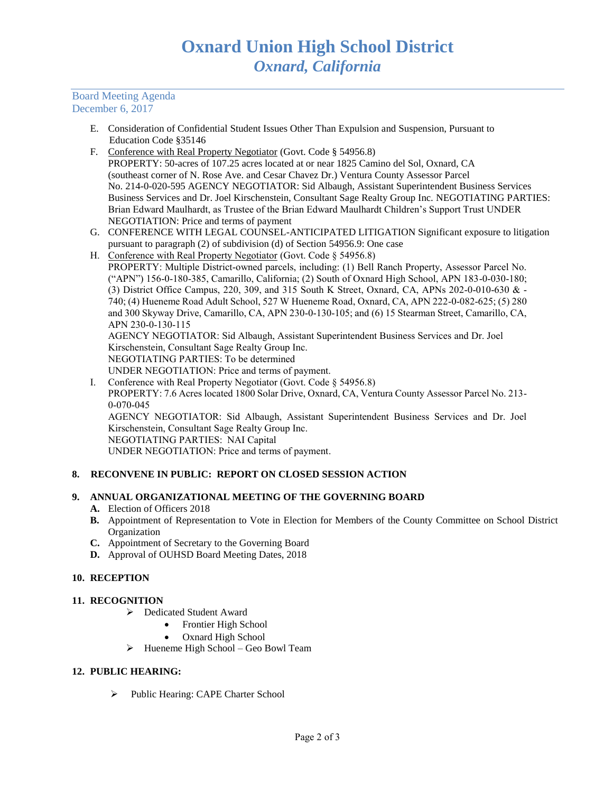### Board Meeting Agenda December 6, 2017

- E. Consideration of Confidential Student Issues Other Than Expulsion and Suspension, Pursuant to Education Code §35146
- F. Conference with Real Property Negotiator (Govt. Code § 54956.8) PROPERTY: 50-acres of 107.25 acres located at or near 1825 Camino del Sol, Oxnard, CA (southeast corner of N. Rose Ave. and Cesar Chavez Dr.) Ventura County Assessor Parcel No. 214-0-020-595 AGENCY NEGOTIATOR: Sid Albaugh, Assistant Superintendent Business Services Business Services and Dr. Joel Kirschenstein, Consultant Sage Realty Group Inc. NEGOTIATING PARTIES: Brian Edward Maulhardt, as Trustee of the Brian Edward Maulhardt Children's Support Trust UNDER NEGOTIATION: Price and terms of payment
- G. CONFERENCE WITH LEGAL COUNSEL-ANTICIPATED LITIGATION Significant exposure to litigation pursuant to paragraph (2) of subdivision (d) of Section 54956.9: One case
- H. Conference with Real Property Negotiator (Govt. Code § 54956.8) PROPERTY: Multiple District-owned parcels, including: (1) Bell Ranch Property, Assessor Parcel No. ("APN") 156-0-180-385, Camarillo, California; (2) South of Oxnard High School, APN 183-0-030-180; (3) District Office Campus, 220, 309, and 315 South K Street, Oxnard, CA, APNs 202-0-010-630 & - 740; (4) Hueneme Road Adult School, 527 W Hueneme Road, Oxnard, CA, APN 222-0-082-625; (5) 280 and 300 Skyway Drive, Camarillo, CA, APN 230-0-130-105; and (6) 15 Stearman Street, Camarillo, CA, APN 230-0-130-115 AGENCY NEGOTIATOR: Sid Albaugh, Assistant Superintendent Business Services and Dr. Joel

Kirschenstein, Consultant Sage Realty Group Inc. NEGOTIATING PARTIES: To be determined

UNDER NEGOTIATION: Price and terms of payment.

I. Conference with Real Property Negotiator (Govt. Code § 54956.8)

PROPERTY: 7.6 Acres located 1800 Solar Drive, Oxnard, CA, Ventura County Assessor Parcel No. 213- 0-070-045

AGENCY NEGOTIATOR: Sid Albaugh, Assistant Superintendent Business Services and Dr. Joel Kirschenstein, Consultant Sage Realty Group Inc. NEGOTIATING PARTIES: NAI Capital

UNDER NEGOTIATION: Price and terms of payment.

## **8. RECONVENE IN PUBLIC: REPORT ON CLOSED SESSION ACTION**

## **9. ANNUAL ORGANIZATIONAL MEETING OF THE GOVERNING BOARD**

- **A.** Election of Officers 2018
- **B.** Appointment of Representation to Vote in Election for Members of the County Committee on School District Organization
- **C.** Appointment of Secretary to the Governing Board
- **D.** Approval of OUHSD Board Meeting Dates, 2018

## **10. RECEPTION**

## **11. RECOGNITION**

- ➢ Dedicated Student Award
	- Frontier High School
		- Oxnard High School
- ➢ Hueneme High School Geo Bowl Team

## **12. PUBLIC HEARING:**

➢ Public Hearing: CAPE Charter School